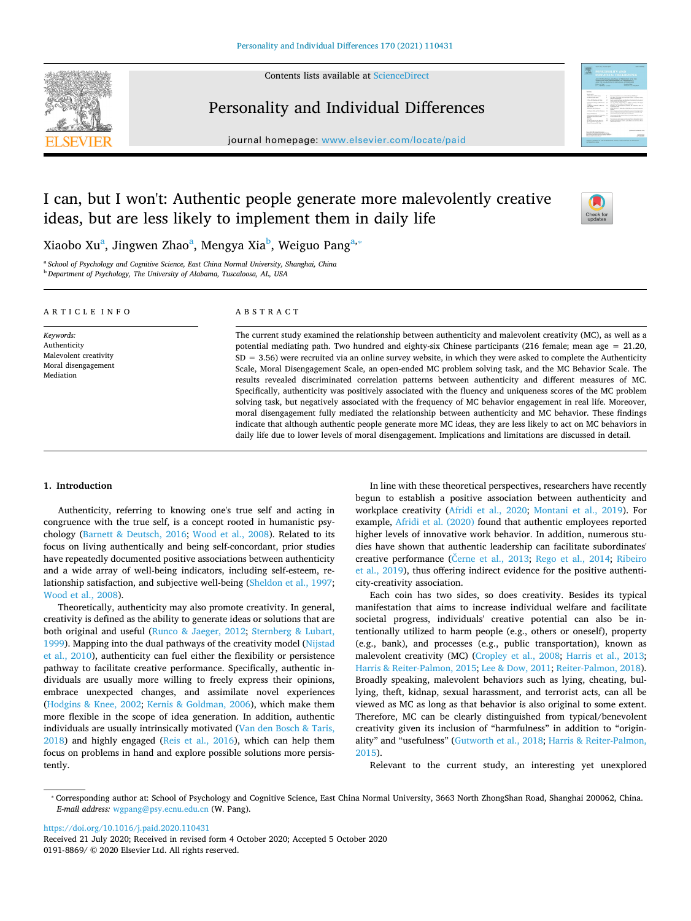Contents lists available at [ScienceDirect](http://www.sciencedirect.com/science/journal/01918869) 



# Personality and Individual Differences

journal homepage: [www.elsevier.com/locate/paid](https://www.elsevier.com/locate/paid) 



## I can, but I won't: Authentic people generate more malevolently creative ideas, but are less likely to implement them in daily life



Xiaobo Xu<sup>a</sup>, Jingwen Zhao<sup>a</sup>, Mengya Xia<sup>b</sup>, Weiguo Pang<sup>a,</sup>\*

<span id="page-0-1"></span><span id="page-0-0"></span><sup>a</sup>*School of Psychology and Cognitive Science, East China Normal University, Shanghai, China*  <sup>b</sup>*Department of Psychology, The University of Alabama, Tuscaloosa, AL, USA* 

| ARTICLE INFO                                                                           | ABSTRACT                                                                                                                                                                                                                                                                                                                                                                                                                                                                                                                                                                                                                                                                                                                                                                                                                                                                                                                                                                                                                             |
|----------------------------------------------------------------------------------------|--------------------------------------------------------------------------------------------------------------------------------------------------------------------------------------------------------------------------------------------------------------------------------------------------------------------------------------------------------------------------------------------------------------------------------------------------------------------------------------------------------------------------------------------------------------------------------------------------------------------------------------------------------------------------------------------------------------------------------------------------------------------------------------------------------------------------------------------------------------------------------------------------------------------------------------------------------------------------------------------------------------------------------------|
| Keywords:<br>Authenticity<br>Malevolent creativity<br>Moral disengagement<br>Mediation | The current study examined the relationship between authenticity and malevolent creativity (MC), as well as a<br>potential mediating path. Two hundred and eighty-six Chinese participants (216 female; mean age $= 21.20$ ,<br>$SD = 3.56$ ) were recruited via an online survey website, in which they were asked to complete the Authenticity<br>Scale, Moral Disengagement Scale, an open-ended MC problem solving task, and the MC Behavior Scale. The<br>results revealed discriminated correlation patterns between authenticity and different measures of MC.<br>Specifically, authenticity was positively associated with the fluency and uniqueness scores of the MC problem<br>solving task, but negatively associated with the frequency of MC behavior engagement in real life. Moreover,<br>moral disengagement fully mediated the relationship between authenticity and MC behavior. These findings<br>indicate that although authentic people generate more MC ideas, they are less likely to act on MC behaviors in |

## **1. Introduction**

Authenticity, referring to knowing one's true self and acting in congruence with the true self, is a concept rooted in humanistic psychology ([Barnett & Deutsch, 2016;](#page-3-0) [Wood et al., 2008\)](#page-4-0). Related to its focus on living authentically and being self-concordant, prior studies have repeatedly documented positive associations between authenticity and a wide array of well-being indicators, including self-esteem, relationship satisfaction, and subjective well-being [\(Sheldon et al., 1997](#page-4-1); [Wood et al., 2008\)](#page-4-0).

Theoretically, authenticity may also promote creativity. In general, creativity is defined as the ability to generate ideas or solutions that are both original and useful [\(Runco & Jaeger, 2012;](#page-4-2) [Sternberg & Lubart,](#page-4-3)  [1999\)](#page-4-3). Mapping into the dual pathways of the creativity model ([Nijstad](#page-4-4)  [et al., 2010](#page-4-4)), authenticity can fuel either the flexibility or persistence pathway to facilitate creative performance. Specifically, authentic individuals are usually more willing to freely express their opinions, embrace unexpected changes, and assimilate novel experiences ([Hodgins & Knee, 2002;](#page-4-5) [Kernis & Goldman, 2006\)](#page-4-6), which make them more flexible in the scope of idea generation. In addition, authentic individuals are usually intrinsically motivated [\(Van den Bosch & Taris,](#page-4-7)  [2018\)](#page-4-7) and highly engaged ([Reis et al., 2016\)](#page-4-8), which can help them focus on problems in hand and explore possible solutions more persistently.

In line with these theoretical perspectives, researchers have recently begun to establish a positive association between authenticity and workplace creativity [\(Afridi et al., 2020](#page-3-1); [Montani et al., 2019\)](#page-4-9). For example, [Afridi et al. \(2020\)](#page-3-1) found that authentic employees reported higher levels of innovative work behavior. In addition, numerous studies have shown that authentic leadership can facilitate subordinates' creative performance [\(Černe et al., 2013](#page-3-2); [Rego et al., 2014](#page-4-10); [Ribeiro](#page-4-11)  [et al., 2019\)](#page-4-11), thus offering indirect evidence for the positive authenticity-creativity association.

daily life due to lower levels of moral disengagement. Implications and limitations are discussed in detail.

Each coin has two sides, so does creativity. Besides its typical manifestation that aims to increase individual welfare and facilitate societal progress, individuals' creative potential can also be intentionally utilized to harm people (e.g., others or oneself), property (e.g., bank), and processes (e.g., public transportation), known as malevolent creativity (MC) [\(Cropley et al., 2008;](#page-3-3) [Harris et al., 2013](#page-4-12); [Harris & Reiter-Palmon, 2015;](#page-4-13) [Lee & Dow, 2011](#page-4-14); [Reiter-Palmon, 2018](#page-4-15)). Broadly speaking, malevolent behaviors such as lying, cheating, bullying, theft, kidnap, sexual harassment, and terrorist acts, can all be viewed as MC as long as that behavior is also original to some extent. Therefore, MC can be clearly distinguished from typical/benevolent creativity given its inclusion of "harmfulness" in addition to "originality" and "usefulness" [\(Gutworth et al., 2018](#page-3-4); [Harris & Reiter-Palmon,](#page-4-13)  [2015\)](#page-4-13).

Relevant to the current study, an interesting yet unexplored

<https://doi.org/10.1016/j.paid.2020.110431>

Received 21 July 2020; Received in revised form 4 October 2020; Accepted 5 October 2020 0191-8869/ © 2020 Elsevier Ltd. All rights reserved.

<span id="page-0-2"></span><sup>⁎</sup> Corresponding author at: School of Psychology and Cognitive Science, East China Normal University, 3663 North ZhongShan Road, Shanghai 200062, China. *E-mail address:* [wgpang@psy.ecnu.edu.cn](mailto:wgpang@psy.ecnu.edu.cn) (W. Pang).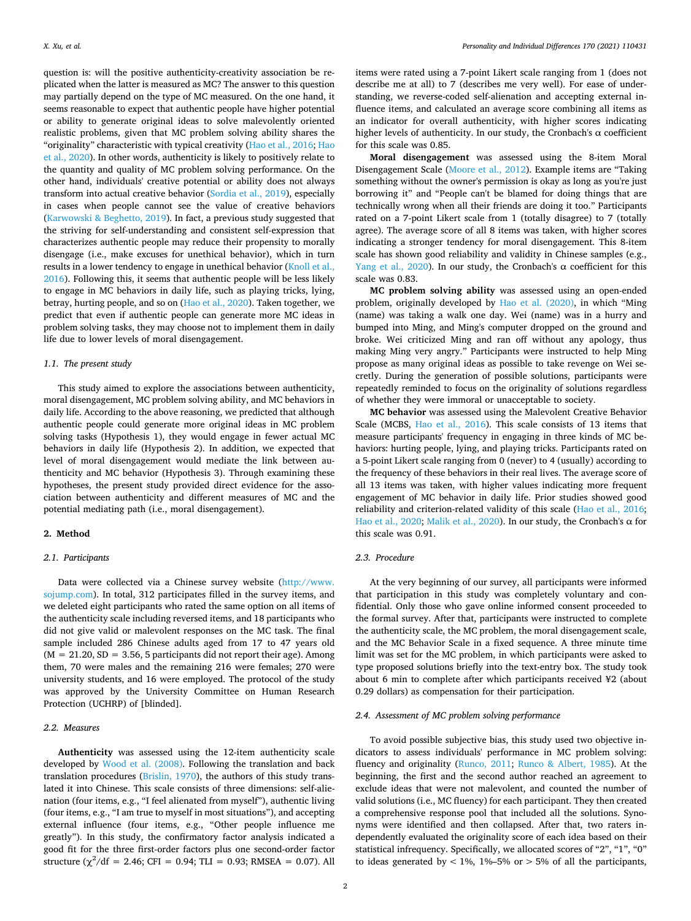question is: will the positive authenticity-creativity association be replicated when the latter is measured as MC? The answer to this question may partially depend on the type of MC measured. On the one hand, it seems reasonable to expect that authentic people have higher potential or ability to generate original ideas to solve malevolently oriented realistic problems, given that MC problem solving ability shares the "originality" characteristic with typical creativity ([Hao et al., 2016](#page-4-16); [Hao](#page-4-17)  [et al., 2020](#page-4-17)). In other words, authenticity is likely to positively relate to the quantity and quality of MC problem solving performance. On the other hand, individuals' creative potential or ability does not always transform into actual creative behavior [\(Sordia et al., 2019\)](#page-4-18), especially in cases when people cannot see the value of creative behaviors ([Karwowski & Beghetto, 2019](#page-4-19)). In fact, a previous study suggested that the striving for self-understanding and consistent self-expression that characterizes authentic people may reduce their propensity to morally disengage (i.e., make excuses for unethical behavior), which in turn results in a lower tendency to engage in unethical behavior (Knoll et al., [2016\)](#page-4-20). Following this, it seems that authentic people will be less likely to engage in MC behaviors in daily life, such as playing tricks, lying, betray, hurting people, and so on [\(Hao et al., 2020](#page-4-17)). Taken together, we predict that even if authentic people can generate more MC ideas in problem solving tasks, they may choose not to implement them in daily life due to lower levels of moral disengagement.

## *1.1. The present study*

This study aimed to explore the associations between authenticity, moral disengagement, MC problem solving ability, and MC behaviors in daily life. According to the above reasoning, we predicted that although authentic people could generate more original ideas in MC problem solving tasks (Hypothesis 1), they would engage in fewer actual MC behaviors in daily life (Hypothesis 2). In addition, we expected that level of moral disengagement would mediate the link between authenticity and MC behavior (Hypothesis 3). Through examining these hypotheses, the present study provided direct evidence for the association between authenticity and different measures of MC and the potential mediating path (i.e., moral disengagement).

## **2. Method**

## *2.1. Participants*

Data were collected via a Chinese survey website [\(http://www.](http://www.sojump.com)  [sojump.com](http://www.sojump.com)). In total, 312 participates filled in the survey items, and we deleted eight participants who rated the same option on all items of the authenticity scale including reversed items, and 18 participants who did not give valid or malevolent responses on the MC task. The final sample included 286 Chinese adults aged from 17 to 47 years old  $(M = 21.20, SD = 3.56, 5$  participants did not report their age). Among them, 70 were males and the remaining 216 were females; 270 were university students, and 16 were employed. The protocol of the study was approved by the University Committee on Human Research Protection (UCHRP) of [blinded].

## *2.2. Measures*

**Authenticity** was assessed using the 12-item authenticity scale developed by [Wood et al. \(2008\)](#page-4-0). Following the translation and back translation procedures [\(Brislin, 1970](#page-3-5)), the authors of this study translated it into Chinese. This scale consists of three dimensions: self-alienation (four items, e.g., "I feel alienated from myself"), authentic living (four items, e.g., "I am true to myself in most situations"), and accepting external influence (four items, e.g., "Other people influence me greatly"). In this study, the confirmatory factor analysis indicated a good fit for the three first-order factors plus one second-order factor structure  $(\chi^2/df = 2.46; CFI = 0.94; TLI = 0.93; RMSEA = 0.07)$ . All items were rated using a 7-point Likert scale ranging from 1 (does not describe me at all) to 7 (describes me very well). For ease of understanding, we reverse-coded self-alienation and accepting external influence items, and calculated an average score combining all items as an indicator for overall authenticity, with higher scores indicating higher levels of authenticity. In our study, the Cronbach's  $\alpha$  coefficient for this scale was 0.85.

**Moral disengagement** was assessed using the 8-item Moral Disengagement Scale [\(Moore et al., 2012](#page-4-21)). Example items are "Taking something without the owner's permission is okay as long as you're just borrowing it" and "People can't be blamed for doing things that are technically wrong when all their friends are doing it too." Participants rated on a 7-point Likert scale from 1 (totally disagree) to 7 (totally agree). The average score of all 8 items was taken, with higher scores indicating a stronger tendency for moral disengagement. This 8-item scale has shown good reliability and validity in Chinese samples (e.g., [Yang et al., 2020](#page-4-22)). In our study, the Cronbach's  $\alpha$  coefficient for this scale was 0.83.

**MC problem solving ability** was assessed using an open-ended problem, originally developed by [Hao et al. \(2020\),](#page-4-17) in which "Ming (name) was taking a walk one day. Wei (name) was in a hurry and bumped into Ming, and Ming's computer dropped on the ground and broke. Wei criticized Ming and ran off without any apology, thus making Ming very angry." Participants were instructed to help Ming propose as many original ideas as possible to take revenge on Wei secretly. During the generation of possible solutions, participants were repeatedly reminded to focus on the originality of solutions regardless of whether they were immoral or unacceptable to society.

**MC behavior** was assessed using the Malevolent Creative Behavior Scale (MCBS, [Hao et al., 2016\)](#page-4-16). This scale consists of 13 items that measure participants' frequency in engaging in three kinds of MC behaviors: hurting people, lying, and playing tricks. Participants rated on a 5-point Likert scale ranging from 0 (never) to 4 (usually) according to the frequency of these behaviors in their real lives. The average score of all 13 items was taken, with higher values indicating more frequent engagement of MC behavior in daily life. Prior studies showed good reliability and criterion-related validity of this scale [\(Hao et al., 2016](#page-4-16); [Hao et al., 2020](#page-4-17); [Malik et al., 2020\)](#page-4-23). In our study, the Cronbach's α for this scale was 0.91.

## *2.3. Procedure*

At the very beginning of our survey, all participants were informed that participation in this study was completely voluntary and confidential. Only those who gave online informed consent proceeded to the formal survey. After that, participants were instructed to complete the authenticity scale, the MC problem, the moral disengagement scale, and the MC Behavior Scale in a fixed sequence. A three minute time limit was set for the MC problem, in which participants were asked to type proposed solutions briefly into the text-entry box. The study took about 6 min to complete after which participants received ¥2 (about 0.29 dollars) as compensation for their participation.

## *2.4. Assessment of MC problem solving performance*

To avoid possible subjective bias, this study used two objective indicators to assess individuals' performance in MC problem solving: fluency and originality [\(Runco, 2011](#page-4-24); [Runco & Albert, 1985\)](#page-4-25). At the beginning, the first and the second author reached an agreement to exclude ideas that were not malevolent, and counted the number of valid solutions (i.e., MC fluency) for each participant. They then created a comprehensive response pool that included all the solutions. Synonyms were identified and then collapsed. After that, two raters independently evaluated the originality score of each idea based on their statistical infrequency. Specifically, we allocated scores of "2", "1", "0" to ideas generated by  $< 1\%$ ,  $1\% - 5\%$  or  $> 5\%$  of all the participants,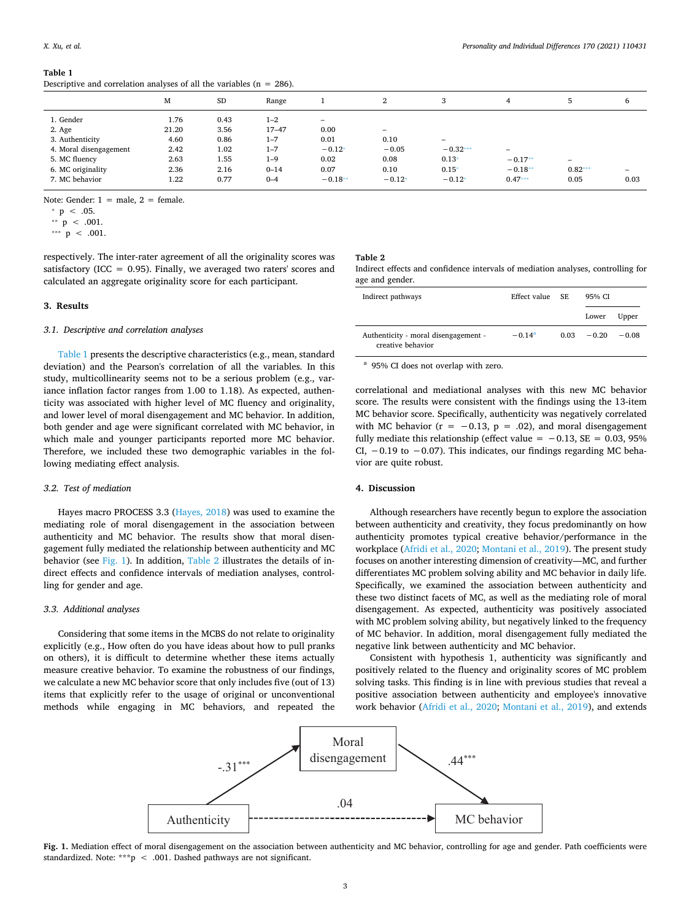#### <span id="page-2-0"></span>**Table 1**

Descriptive and correlation analyses of all the variables ( $n = 286$ ).

| M<br>SD<br>3<br>2<br>Range<br>ь<br>6<br>1. Gender<br>0.43<br>$1 - 2$<br>1.76<br>$\overline{\phantom{a}}$<br>21.20<br>3.56<br>$17 - 47$<br>0.00<br>2. Age<br>$\overline{\phantom{0}}$<br>3. Authenticity<br>4.60<br>0.86<br>0.01<br>0.10<br>$1 - 7$<br>$\overline{\phantom{0}}$<br>4. Moral disengagement<br>2.42<br>1.02<br>$-0.12*$<br>$-0.32***$<br>$-0.05$<br>$1 - 7$<br>$\overline{\phantom{0}}$<br>5. MC fluency<br>$0.13*$<br>$-0.17**$<br>2.63<br>0.02<br>0.08<br>1.55<br>$1 - 9$<br>-<br>$0.82***$<br>6. MC originality<br>2.36<br>$0.15*$<br>$-0.18**$<br>2.16<br>$0 - 14$<br>0.07<br>0.10<br>$\overline{\phantom{0}}$<br>7. MC behavior<br>$-0.18**$<br>1.22<br>$-0.12*$<br>$0.47***$<br>0.05<br>0.77<br>0.03<br>$0 - 4$<br>$-0.12*$ |  |  |  |  |  |
|------------------------------------------------------------------------------------------------------------------------------------------------------------------------------------------------------------------------------------------------------------------------------------------------------------------------------------------------------------------------------------------------------------------------------------------------------------------------------------------------------------------------------------------------------------------------------------------------------------------------------------------------------------------------------------------------------------------------------------------------|--|--|--|--|--|
|                                                                                                                                                                                                                                                                                                                                                                                                                                                                                                                                                                                                                                                                                                                                                |  |  |  |  |  |
|                                                                                                                                                                                                                                                                                                                                                                                                                                                                                                                                                                                                                                                                                                                                                |  |  |  |  |  |
|                                                                                                                                                                                                                                                                                                                                                                                                                                                                                                                                                                                                                                                                                                                                                |  |  |  |  |  |
|                                                                                                                                                                                                                                                                                                                                                                                                                                                                                                                                                                                                                                                                                                                                                |  |  |  |  |  |
|                                                                                                                                                                                                                                                                                                                                                                                                                                                                                                                                                                                                                                                                                                                                                |  |  |  |  |  |
|                                                                                                                                                                                                                                                                                                                                                                                                                                                                                                                                                                                                                                                                                                                                                |  |  |  |  |  |
|                                                                                                                                                                                                                                                                                                                                                                                                                                                                                                                                                                                                                                                                                                                                                |  |  |  |  |  |
|                                                                                                                                                                                                                                                                                                                                                                                                                                                                                                                                                                                                                                                                                                                                                |  |  |  |  |  |

Note: Gender:  $1 =$  male,  $2 =$  female.

respectively. The inter-rater agreement of all the originality scores was satisfactory (ICC =  $0.95$ ). Finally, we averaged two raters' scores and calculated an aggregate originality score for each participant.

## **3. Results**

#### *3.1. Descriptive and correlation analyses*

[Table 1](#page-2-0) presents the descriptive characteristics (e.g., mean, standard deviation) and the Pearson's correlation of all the variables. In this study, multicollinearity seems not to be a serious problem (e.g., variance inflation factor ranges from 1.00 to 1.18). As expected, authenticity was associated with higher level of MC fluency and originality, and lower level of moral disengagement and MC behavior. In addition, both gender and age were significant correlated with MC behavior, in which male and younger participants reported more MC behavior. Therefore, we included these two demographic variables in the following mediating effect analysis.

## *3.2. Test of mediation*

Hayes macro PROCESS 3.3 [\(Hayes, 2018](#page-4-26)) was used to examine the mediating role of moral disengagement in the association between authenticity and MC behavior. The results show that moral disengagement fully mediated the relationship between authenticity and MC behavior (see [Fig. 1](#page-2-1)). In addition, [Table 2](#page-2-2) illustrates the details of indirect effects and confidence intervals of mediation analyses, controlling for gender and age.

#### *3.3. Additional analyses*

Considering that some items in the MCBS do not relate to originality explicitly (e.g., How often do you have ideas about how to pull pranks on others), it is difficult to determine whether these items actually measure creative behavior. To examine the robustness of our findings, we calculate a new MC behavior score that only includes five (out of 13) items that explicitly refer to the usage of original or unconventional methods while engaging in MC behaviors, and repeated the

#### <span id="page-2-2"></span>**Table 2**

Indirect effects and confidence intervals of mediation analyses, controlling for age and gender.

| Indirect pathways                                         | Effect value | SF.  | 95% CI  |         |
|-----------------------------------------------------------|--------------|------|---------|---------|
|                                                           |              |      | Lower   | Upper   |
| Authenticity - moral disengagement -<br>creative behavior | $-0.14^{a}$  | 0.03 | $-0.20$ | $-0.08$ |

<span id="page-2-6"></span><sup>a</sup> 95% CI does not overlap with zero.

correlational and mediational analyses with this new MC behavior score. The results were consistent with the findings using the 13-item MC behavior score. Specifically, authenticity was negatively correlated with MC behavior ( $r = -0.13$ ,  $p = .02$ ), and moral disengagement fully mediate this relationship (effect value =  $-0.13$ , SE = 0.03, 95% CI, −0.19 to −0.07). This indicates, our findings regarding MC behavior are quite robust.

## **4. Discussion**

Although researchers have recently begun to explore the association between authenticity and creativity, they focus predominantly on how authenticity promotes typical creative behavior/performance in the workplace [\(Afridi et al., 2020](#page-3-1); [Montani et al., 2019](#page-4-9)). The present study focuses on another interesting dimension of creativity—MC, and further differentiates MC problem solving ability and MC behavior in daily life. Specifically, we examined the association between authenticity and these two distinct facets of MC, as well as the mediating role of moral disengagement. As expected, authenticity was positively associated with MC problem solving ability, but negatively linked to the frequency of MC behavior. In addition, moral disengagement fully mediated the negative link between authenticity and MC behavior.

Consistent with hypothesis 1, authenticity was significantly and positively related to the fluency and originality scores of MC problem solving tasks. This finding is in line with previous studies that reveal a positive association between authenticity and employee's innovative work behavior [\(Afridi et al., 2020;](#page-3-1) [Montani et al., 2019\)](#page-4-9), and extends

<span id="page-2-1"></span>

Fig. 1. Mediation effect of moral disengagement on the association between authenticity and MC behavior, controlling for age and gender. Path coefficients were standardized. Note: \*\*\*p < .001. Dashed pathways are not significant.

<span id="page-2-3"></span> $*$  p < .05.

<span id="page-2-5"></span> $*$   $p$  < .001.

<span id="page-2-4"></span><sup>\*\*\*</sup>  $p$  < .001.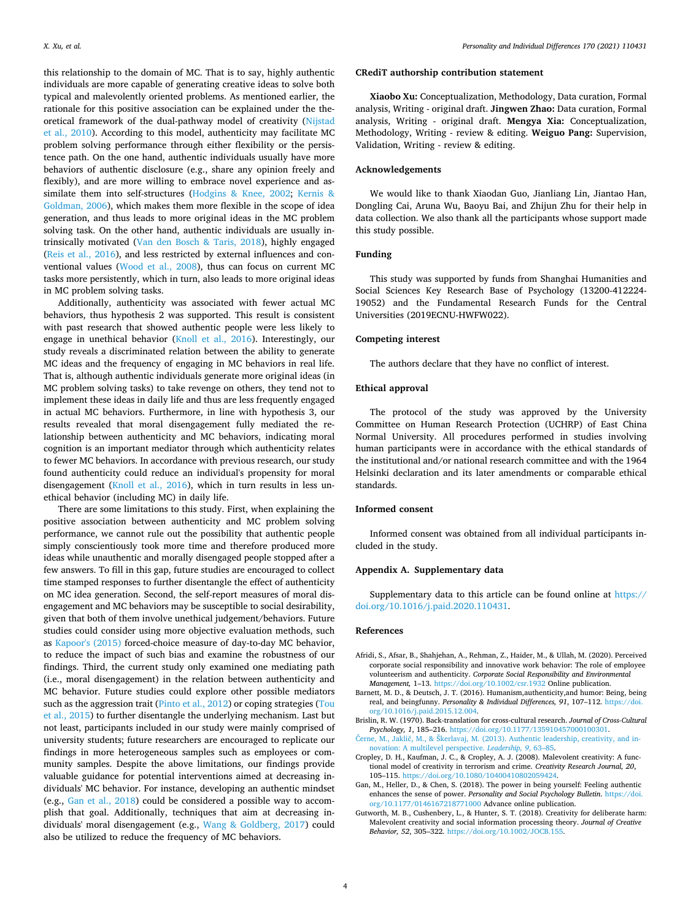this relationship to the domain of MC. That is to say, highly authentic individuals are more capable of generating creative ideas to solve both typical and malevolently oriented problems. As mentioned earlier, the rationale for this positive association can be explained under the theoretical framework of the dual-pathway model of creativity ([Nijstad](#page-4-4)  [et al., 2010](#page-4-4)). According to this model, authenticity may facilitate MC problem solving performance through either flexibility or the persistence path. On the one hand, authentic individuals usually have more behaviors of authentic disclosure (e.g., share any opinion freely and flexibly), and are more willing to embrace novel experience and assimilate them into self-structures ([Hodgins & Knee, 2002](#page-4-5); [Kernis &](#page-4-6)  [Goldman, 2006](#page-4-6)), which makes them more flexible in the scope of idea generation, and thus leads to more original ideas in the MC problem solving task. On the other hand, authentic individuals are usually intrinsically motivated ([Van den Bosch & Taris, 2018](#page-4-7)), highly engaged ([Reis et al., 2016\)](#page-4-8), and less restricted by external influences and conventional values [\(Wood et al., 2008\)](#page-4-0), thus can focus on current MC tasks more persistently, which in turn, also leads to more original ideas in MC problem solving tasks.

Additionally, authenticity was associated with fewer actual MC behaviors, thus hypothesis 2 was supported. This result is consistent with past research that showed authentic people were less likely to engage in unethical behavior [\(Knoll et al., 2016](#page-4-20)). Interestingly, our study reveals a discriminated relation between the ability to generate MC ideas and the frequency of engaging in MC behaviors in real life. That is, although authentic individuals generate more original ideas (in MC problem solving tasks) to take revenge on others, they tend not to implement these ideas in daily life and thus are less frequently engaged in actual MC behaviors. Furthermore, in line with hypothesis 3, our results revealed that moral disengagement fully mediated the relationship between authenticity and MC behaviors, indicating moral cognition is an important mediator through which authenticity relates to fewer MC behaviors. In accordance with previous research, our study found authenticity could reduce an individual's propensity for moral disengagement ([Knoll et al., 2016](#page-4-20)), which in turn results in less unethical behavior (including MC) in daily life.

There are some limitations to this study. First, when explaining the positive association between authenticity and MC problem solving performance, we cannot rule out the possibility that authentic people simply conscientiously took more time and therefore produced more ideas while unauthentic and morally disengaged people stopped after a few answers. To fill in this gap, future studies are encouraged to collect time stamped responses to further disentangle the effect of authenticity on MC idea generation. Second, the self-report measures of moral disengagement and MC behaviors may be susceptible to social desirability, given that both of them involve unethical judgement/behaviors. Future studies could consider using more objective evaluation methods, such as [Kapoor's \(2015\)](#page-4-27) forced-choice measure of day-to-day MC behavior, to reduce the impact of such bias and examine the robustness of our findings. Third, the current study only examined one mediating path (i.e., moral disengagement) in the relation between authenticity and MC behavior. Future studies could explore other possible mediators such as the aggression trait ([Pinto et al., 2012\)](#page-4-28) or coping strategies [\(Tou](#page-4-29)  [et al., 2015\)](#page-4-29) to further disentangle the underlying mechanism. Last but not least, participants included in our study were mainly comprised of university students; future researchers are encouraged to replicate our findings in more heterogeneous samples such as employees or community samples. Despite the above limitations, our findings provide valuable guidance for potential interventions aimed at decreasing individuals' MC behavior. For instance, developing an authentic mindset (e.g., [Gan et al., 2018\)](#page-3-6) could be considered a possible way to accomplish that goal. Additionally, techniques that aim at decreasing individuals' moral disengagement (e.g., [Wang & Goldberg, 2017](#page-4-30)) could also be utilized to reduce the frequency of MC behaviors.

#### **CRediT authorship contribution statement**

**Xiaobo Xu:** Conceptualization, Methodology, Data curation, Formal analysis, Writing - original draft. **Jingwen Zhao:** Data curation, Formal analysis, Writing - original draft. **Mengya Xia:** Conceptualization, Methodology, Writing - review & editing. **Weiguo Pang:** Supervision, Validation, Writing - review & editing.

## **Acknowledgements**

We would like to thank Xiaodan Guo, Jianliang Lin, Jiantao Han, Dongling Cai, Aruna Wu, Baoyu Bai, and Zhijun Zhu for their help in data collection. We also thank all the participants whose support made this study possible.

## **Funding**

This study was supported by funds from Shanghai Humanities and Social Sciences Key Research Base of Psychology (13200-412224- 19052) and the Fundamental Research Funds for the Central Universities (2019ECNU-HWFW022).

#### **Competing interest**

The authors declare that they have no conflict of interest.

#### **Ethical approval**

The protocol of the study was approved by the University Committee on Human Research Protection (UCHRP) of East China Normal University. All procedures performed in studies involving human participants were in accordance with the ethical standards of the institutional and/or national research committee and with the 1964 Helsinki declaration and its later amendments or comparable ethical standards.

## **Informed consent**

Informed consent was obtained from all individual participants included in the study.

#### **Appendix A. Supplementary data**

Supplementary data to this article can be found online at [https://](https://doi.org/10.1016/j.paid.2020.110431)  [doi.org/10.1016/j.paid.2020.110431.](https://doi.org/10.1016/j.paid.2020.110431)

#### **References**

- <span id="page-3-1"></span>Afridi, S., Afsar, B., Shahjehan, A., Rehman, Z., Haider, M., & Ullah, M. (2020). Perceived corporate social responsibility and innovative work behavior: The role of employee volunteerism and authenticity. *Corporate Social Responsibility and Environmental Management,* 1–13.<https://doi.org/10.1002/csr.1932> Online publication.
- <span id="page-3-0"></span>Barnett, M. D., & Deutsch, J. T. (2016). Humanism,authenticity,and humor: Being, being real, and beingfunny. *Personality & Individual Differences, 91*, 107–112. [https://doi.](https://doi.org/10.1016/j.paid.2015.12.004)  [org/10.1016/j.paid.2015.12.004](https://doi.org/10.1016/j.paid.2015.12.004).
- <span id="page-3-5"></span>Brislin, R. W. (1970). Back-translation for cross-cultural research. *Journal of Cross-Cultural Psychology, 1*, 185–216. <https://doi.org/10.1177/135910457000100301>.
- <span id="page-3-2"></span>[Černe, M., Jaklič, M., & Škerlavaj, M. \(2013\). Authentic leadership, creativity, and in](http://refhub.elsevier.com/S0191-8869(20)30622-X/rf0020)[novation: A multilevel perspective.](http://refhub.elsevier.com/S0191-8869(20)30622-X/rf0020) *Leadership, 9*, 63–85.
- <span id="page-3-3"></span>Cropley, D. H., Kaufman, J. C., & Cropley, A. J. (2008). Malevolent creativity: A functional model of creativity in terrorism and crime. *Creativity Research Journal, 20*, 105–115. <https://doi.org/10.1080/10400410802059424>.
- <span id="page-3-6"></span>Gan, M., Heller, D., & Chen, S. (2018). The power in being yourself: Feeling authentic enhances the sense of power. *Personality and Social Psychology Bulletin*. [https://doi.](https://doi.org/10.1177/0146167218771000)  [org/10.1177/0146167218771000](https://doi.org/10.1177/0146167218771000) Advance online publication.
- <span id="page-3-4"></span>Gutworth, M. B., Cushenbery, L., & Hunter, S. T. (2018). Creativity for deliberate harm: Malevolent creativity and social information processing theory. *Journal of Creative Behavior, 52*, 305–322. [https://doi.org/10.1002/JOCB.155.](https://doi.org/10.1002/JOCB.155)